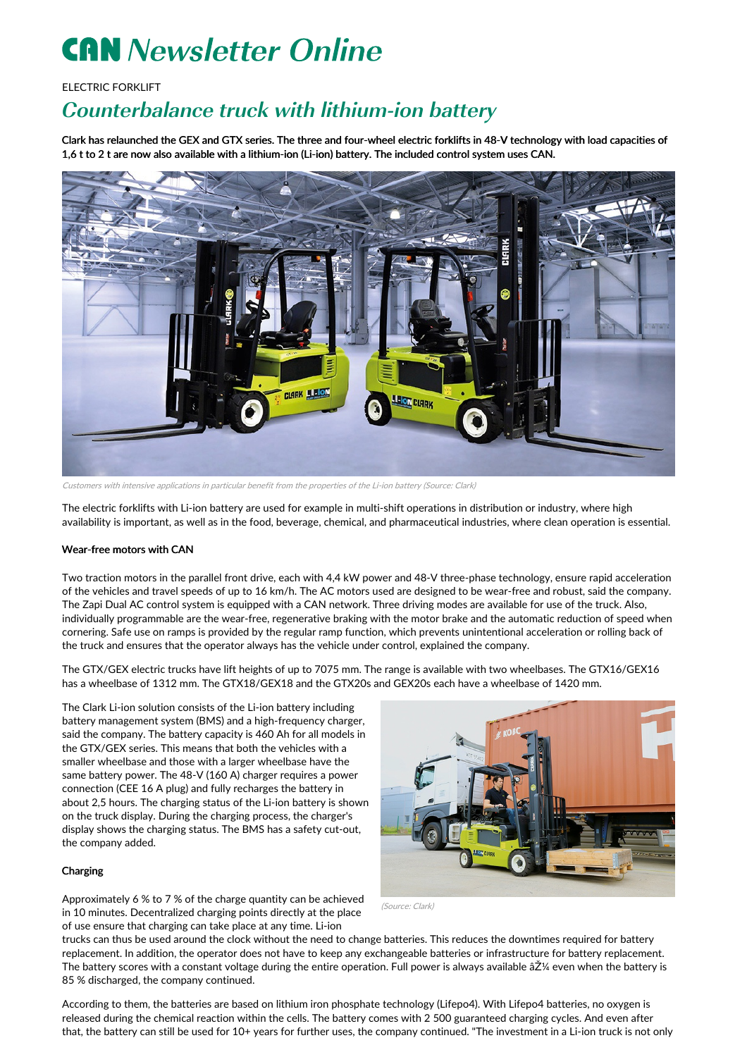# **CAN** Newsletter Online

## ELECTRIC FORKLIFT

# Counterbalance truck with lithium-ion battery

Clark has relaunched the GEX and GTX series. The three and four-wheel electric forklifts in 48-V technology with load capacities of 1,6 t to 2 t are now also available with a lithium-ion (Li-ion) battery. The included control system uses CAN.



Customers with intensive applications in particular benefit from the properties of the Li-ion battery (Source: Clark)

The electric forklifts with Li-ion battery are used for example in multi-shift operations in distribution or industry, where high availability is important, as well as in the food, beverage, chemical, and pharmaceutical industries, where clean operation is essential.

#### Wear-free motors with CAN

Two traction motors in the parallel front drive, each with 4,4 kW power and 48-V three-phase technology, ensure rapid acceleration of the vehicles and travel speeds of up to 16 km/h. The AC motors used are designed to be wear-free and robust, said the company. The Zapi Dual AC control system is equipped with a CAN network. Three driving modes are available for use of the truck. Also, individually programmable are the wear-free, regenerative braking with the motor brake and the automatic reduction of speed when cornering. Safe use on ramps is provided by the regular ramp function, which prevents unintentional acceleration or rolling back of the truck and ensures that the operator always has the vehicle under control, explained the company.

The GTX/GEX electric trucks have lift heights of up to 7075 mm. The range is available with two wheelbases. The GTX16/GEX16 has a wheelbase of 1312 mm. The GTX18/GEX18 and the GTX20s and GEX20s each have a wheelbase of 1420 mm.

The Clark Li-ion solution consists of the Li-ion battery including battery management system (BMS) and a high-frequency charger, said the company. The battery capacity is 460 Ah for all models in the GTX/GEX series. This means that both the vehicles with a smaller wheelbase and those with a larger wheelbase have the same battery power. The 48-V (160 A) charger requires a power connection (CEE 16 A plug) and fully recharges the battery in about 2,5 hours. The charging status of the Li-ion battery is shown on the truck display. During the charging process, the charger's display shows the charging status. The BMS has a safety cut-out, the company added.

## Charging

Approximately 6 % to 7 % of the charge quantity can be achieved in 10 minutes. Decentralized charging points directly at the place of use ensure that charging can take place at any time. Li-ion



(Source: Clark)

trucks can thus be used around the clock without the need to change batteries. This reduces the downtimes required for battery replacement. In addition, the operator does not have to keep any exchangeable batteries or infrastructure for battery replacement. The battery scores with a constant voltage during the entire operation. Full power is always available âŽ¼ even when the battery is 85 % discharged, the company continued.

According to them, the batteries are based on lithium iron phosphate technology (Lifepo4). With Lifepo4 batteries, no oxygen is released during the chemical reaction within the cells. The battery comes with 2 500 guaranteed charging cycles. And even after that, the battery can still be used for 10+ years for further uses, the company continued. "The investment in a Li-ion truck is not only